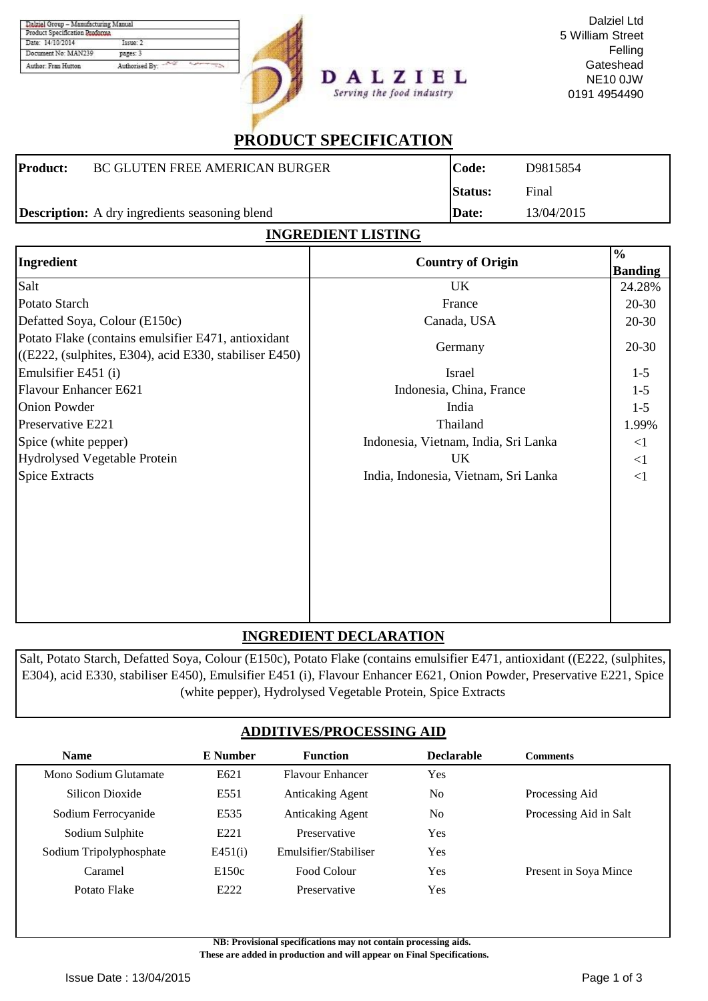| Product Specification Proforma |                |
|--------------------------------|----------------|
| Date: 14/10/2014               | Токие: 2       |
| Document No: MAN239            | pages: 3       |
| Author: Fran Hutton            | Authorised By: |



# **PRODUCT SPECIFICATION**

Serving the food industry

| <b>Product:</b> | <b>BC GLUTEN FREE AMERICAN BURGER</b>                 | Code:          | D9815854   |
|-----------------|-------------------------------------------------------|----------------|------------|
|                 |                                                       | <b>Status:</b> | Final      |
|                 | <b>Description:</b> A dry ingredients seasoning blend | <b>Date:</b>   | 13/04/2015 |

### **INGREDIENT LISTING**

| Ingredient                                                                                                       | <b>Country of Origin</b>             | $\frac{6}{6}$  |
|------------------------------------------------------------------------------------------------------------------|--------------------------------------|----------------|
|                                                                                                                  |                                      | <b>Banding</b> |
| Salt                                                                                                             | UK                                   | 24.28%         |
| Potato Starch                                                                                                    | France                               | $20 - 30$      |
| Defatted Soya, Colour (E150c)                                                                                    | Canada, USA                          | $20 - 30$      |
| Potato Flake (contains emulsifier E471, antioxidant<br>$($ (E222, (sulphites, E304), acid E330, stabiliser E450) | Germany                              | $20 - 30$      |
| Emulsifier E451 (i)                                                                                              | Israel                               | $1 - 5$        |
| Flavour Enhancer E621                                                                                            | Indonesia, China, France             | $1 - 5$        |
| <b>Onion Powder</b>                                                                                              | India                                | $1 - 5$        |
| Preservative E221                                                                                                | Thailand                             | 1.99%          |
| Spice (white pepper)                                                                                             | Indonesia, Vietnam, India, Sri Lanka | <1             |
| Hydrolysed Vegetable Protein                                                                                     | UK                                   | <1             |
| <b>Spice Extracts</b>                                                                                            | India, Indonesia, Vietnam, Sri Lanka | <1             |
|                                                                                                                  |                                      |                |
|                                                                                                                  |                                      |                |
|                                                                                                                  |                                      |                |
|                                                                                                                  |                                      |                |

### **INGREDIENT DECLARATION**

Salt, Potato Starch, Defatted Soya, Colour (E150c), Potato Flake (contains emulsifier E471, antioxidant ((E222, (sulphites, E304), acid E330, stabiliser E450), Emulsifier E451 (i), Flavour Enhancer E621, Onion Powder, Preservative E221, Spice (white pepper), Hydrolysed Vegetable Protein, Spice Extracts

### **ADDITIVES/PROCESSING AID**

| E Number         | <b>Function</b>         | <b>Declarable</b> | <b>Comments</b>        |
|------------------|-------------------------|-------------------|------------------------|
| E621             | <b>Flavour Enhancer</b> | <b>Yes</b>        |                        |
| E551             | <b>Anticaking Agent</b> | No.               | Processing Aid         |
| E535             | <b>Anticaking Agent</b> | No.               | Processing Aid in Salt |
| E <sub>221</sub> | Preservative            | Yes               |                        |
| E451(i)          | Emulsifier/Stabiliser   | <b>Yes</b>        |                        |
| E150c            | Food Colour             | Yes               | Present in Soya Mince  |
| E222             | Preservative            | Yes               |                        |
|                  |                         |                   |                        |

**NB: Provisional specifications may not contain processing aids.** 

 **These are added in production and will appear on Final Specifications.**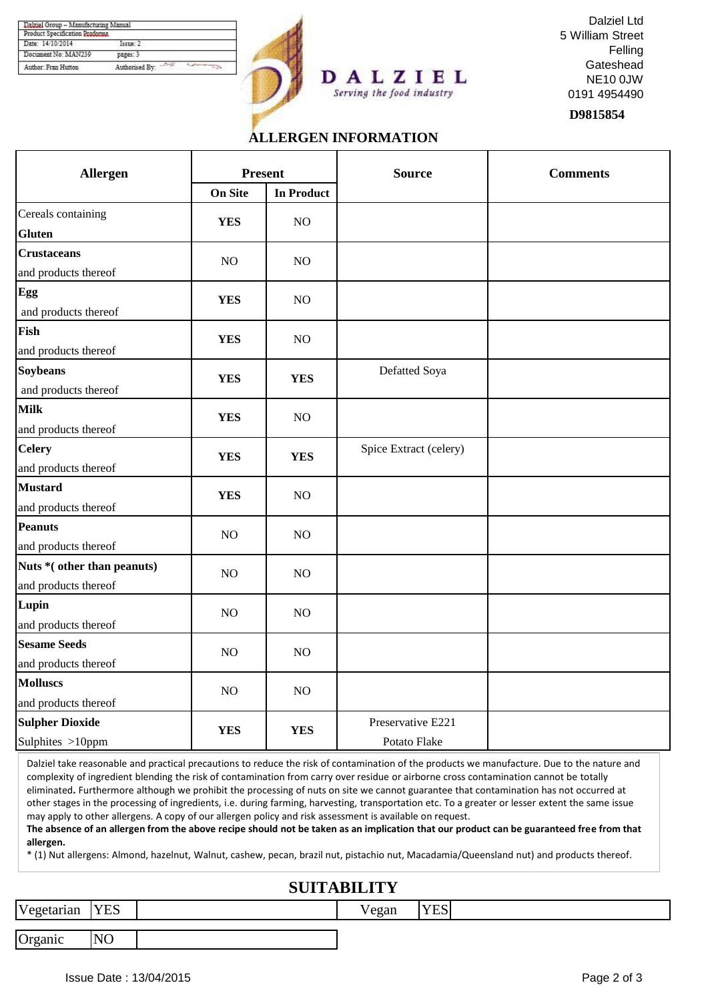| Product Specification Proforma |                         |  |
|--------------------------------|-------------------------|--|
| Date: 14/10/2014               | I <sub>source</sub> : 2 |  |
| Document No: MAN239            | pages: 3                |  |
| Author: Fran Hutton            | Authorised By:          |  |





**D9815854**

## **ALLERGEN INFORMATION**

Serving the food industry

| <b>Allergen</b>                                    | <b>Present</b> |                   | <b>Source</b>                     | <b>Comments</b> |  |
|----------------------------------------------------|----------------|-------------------|-----------------------------------|-----------------|--|
|                                                    | <b>On Site</b> | <b>In Product</b> |                                   |                 |  |
| Cereals containing<br><b>Gluten</b>                | <b>YES</b>     | NO                |                                   |                 |  |
| <b>Crustaceans</b><br>and products thereof         | NO             | NO                |                                   |                 |  |
| Egg<br>and products thereof                        | <b>YES</b>     | NO                |                                   |                 |  |
| Fish<br>and products thereof                       | <b>YES</b>     | NO                |                                   |                 |  |
| <b>Soybeans</b><br>and products thereof            | <b>YES</b>     | <b>YES</b>        | Defatted Soya                     |                 |  |
| <b>Milk</b><br>and products thereof                | <b>YES</b>     | NO                |                                   |                 |  |
| <b>Celery</b><br>and products thereof              | <b>YES</b>     | <b>YES</b>        | Spice Extract (celery)            |                 |  |
| <b>Mustard</b><br>and products thereof             | <b>YES</b>     | NO                |                                   |                 |  |
| <b>Peanuts</b><br>and products thereof             | NO             | NO                |                                   |                 |  |
| Nuts *(other than peanuts)<br>and products thereof | NO             | NO                |                                   |                 |  |
| Lupin<br>and products thereof                      | NO             | NO                |                                   |                 |  |
| <b>Sesame Seeds</b><br>and products thereof        | NO             | NO                |                                   |                 |  |
| <b>Molluscs</b><br>and products thereof            | NO             | NO                |                                   |                 |  |
| <b>Sulpher Dioxide</b><br>Sulphites >10ppm         | <b>YES</b>     | <b>YES</b>        | Preservative E221<br>Potato Flake |                 |  |

Dalziel take reasonable and practical precautions to reduce the risk of contamination of the products we manufacture. Due to the nature and complexity of ingredient blending the risk of contamination from carry over residue or airborne cross contamination cannot be totally eliminated**.** Furthermore although we prohibit the processing of nuts on site we cannot guarantee that contamination has not occurred at other stages in the processing of ingredients, i.e. during farming, harvesting, transportation etc. To a greater or lesser extent the same issue may apply to other allergens. A copy of our allergen policy and risk assessment is available on request.

**The absence of an allergen from the above recipe should not be taken as an implication that our product can be guaranteed free from that allergen.**

\* (1) Nut allergens: Almond, hazelnut, Walnut, cashew, pecan, brazil nut, pistachio nut, Macadamia/Queensland nut) and products thereof.

### **SUITABILITY**

Vegetarian YES 7

Organic NO